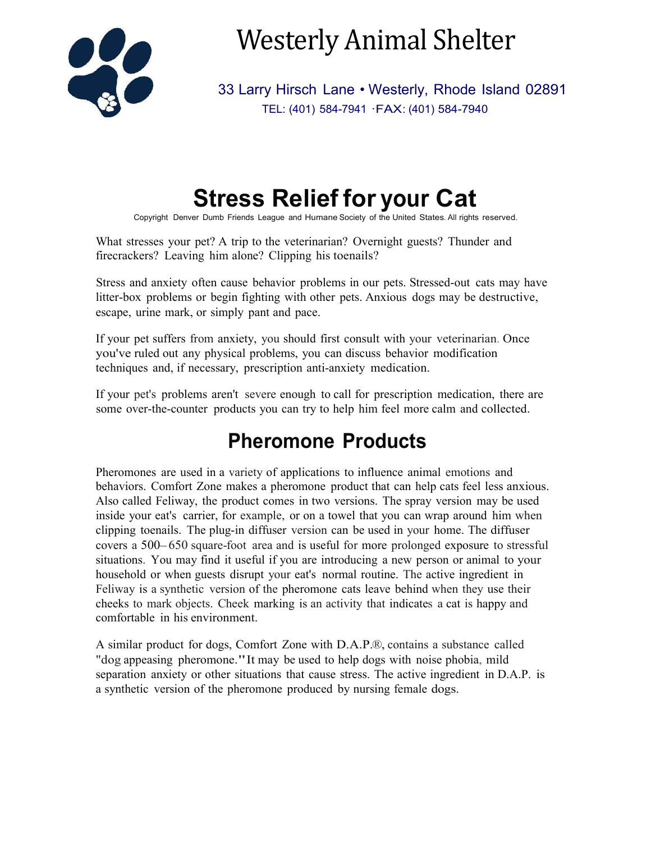

Westerly Animal Shelter

33 Larry Hirsch Lane • Westerly, Rhode Island 02891 TEL: (401) 584-7941 ·FAX: (401) 584-7940

# **Stress Relief for your Cat**

Copyright Denver Dumb Friends League and Humane Society of the United States. All rights reserved.

What stresses your pet? A trip to the veterinarian? Overnight guests? Thunder and firecrackers? Leaving him alone? Clipping his toenails?

Stress and anxiety often cause behavior problems in our pets. Stressed-out cats may have litter-box problems or begin fighting with other pets. Anxious dogs may be destructive, escape, urine mark, or simply pant and pace.

If your pet suffers from anxiety, you should first consult with your veterinarian. Once you've ruled out any physical problems, you can discuss behavior modification techniques and, if necessary, prescription anti-anxiety medication.

If your pet's problems aren't severe enough to call for prescription medication, there are some over-the-counter products you can try to help him feel more calm and collected.

## **Pheromone Products**

Pheromones are used in a variety of applications to influence animal emotions and behaviors. Comfort Zone makes a pheromone product that can help cats feel less anxious. Also called Feliway, the product comes in two versions. The spray version may be used inside your eat's carrier, for example, or on a towel that you can wrap around him when clipping toenails. The plug-in diffuser version can be used in your home. The diffuser covers <sup>a</sup> 500-650 square-foot area and is useful for more prolonged exposure to stressful situations. You may find it useful if you are introducing a new person or animal to your household or when guests disrupt your eat's normal routine. The active ingredient in Feliway is a synthetic version of the pheromone cats leave behind when they use their cheeks to mark objects. Cheek marking is an activity that indicates a cat is happy and comfortable in his environment.

A similar product for dogs, Comfort Zone with D.A.P.®, contains a substance called "dog appeasing pheromone."It may be used to help dogs with noise phobia, mild separation anxiety or other situations that cause stress. The active ingredient in D.A.P. is a synthetic version of the pheromone produced by nursing female dogs.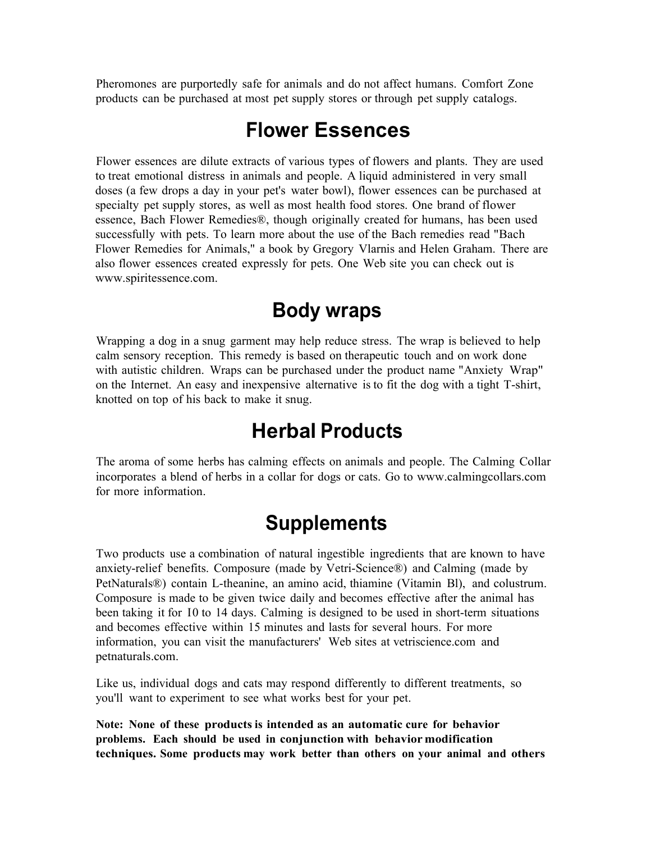Pheromones are purportedly safe for animals and do not affect humans. Comfort Zone products can be purchased at most pet supply stores or through pet supply catalogs.

#### **Flower Essences**

Flower essences are dilute extracts of various types of flowers and plants. They are used to treat emotional distress in animals and people. A liquid administered in very small doses (a few drops a day in your pet's water bowl), flower essences can be purchased at specialty pet supply stores, as well as most health food stores. One brand of flower essence, Bach Flower Remedies®, though originally created for humans, has been used successfully with pets. To learn more about the use of the Bach remedies read "Bach Flower Remedies for Animals," a book by Gregory Vlarnis and Helen Graham. There are also flower essences created expressly for pets. One Web site you can check out i[s](http://www.spiritessence.com/) [www.spiritessence.com.](http://www.spiritessence.com/)

#### **Body wraps**

Wrapping a dog in a snug garment may help reduce stress. The wrap is believed to help calm sensory reception. This remedy is based on therapeutic touch and on work done with autistic children. Wraps can be purchased under the product name "Anxiety Wrap" on the Internet. An easy and inexpensive alternative is to fit the dog with a tight T-shirt, knotted on top of his back to make it snug.

#### **Herbal Products**

The aroma of some herbs has calming effects on animals and people. The Calming Collar incorporates a blend of herbs in a collar for dogs or cats. Go to [www.calmingcollars.com](http://www.calmingcollars.com/)  for more information.

### **Supplements**

Two products use a combination of natural ingestible ingredients that are known to have anxiety-relief benefits. Composure (made by Vetri-Science®) and Calming (made by PetNaturals®) contain L-theanine, an amino acid, thiamine (Vitamin Bl), and colustrum. Composure is made to be given twice daily and becomes effective after the animal has been taking it for I0 to 14 days. Calming is designed to be used in short-term situations and becomes effective within 15 minutes and lasts for several hours. For more information, you can visit the manufacturers' Web sites at vetriscience.com and petnaturals.com.

Like us, individual dogs and cats may respond differently to different treatments, so you'll want to experiment to see what works best for your pet.

**Note: None of these products is intended as an automatic cure for behavior problems. Each should be used in conjunction with behavior modification techniques. Some products may work better than others on your animal and others**